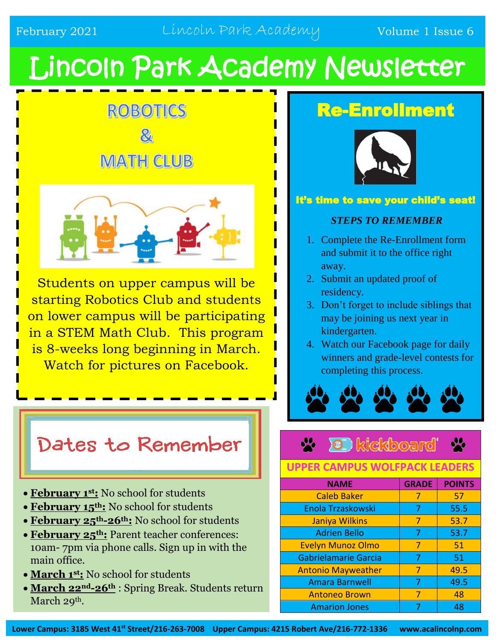# Lincoln Park Academy Newsletter





Students on upper campus will be starting Robotics Club and students on lower campus will be participating in a STEM Math Club. This program is 8-weeks long beginning in March. Watch for pictures on Facebook.

# Dates to Remember

- **February 1st:** No school for students
- **February 15th:** No school for students
- **February 25th-26th:** No school for students
- **February 25th:** Parent teacher conferences: 10am- 7pm via phone calls. Sign up in with the main office.
- **March 1st:** No school for students
- **March 22nd-26th** : Spring Break. Students return March 29<sup>th</sup>.

# Re-Enrollment



### It's time to save your child's seat!

### *STEPS TO REMEMBER*

- 1. Complete the Re-Enrollment form and submit it to the office right away.
- 2. Submit an updated proof of residency.
- 3. Don't forget to include siblings that may be joining us next year in kindergarten.
- 4. Watch our Facebook page for daily winners and grade-level contests for completing this process.



#### **0** kickboard  $\frac{1}{2}$

### **UPPER CAMPUS WOLFPACK LEADERS**

| <b>NAME</b>               | <b>GRADE</b> | <b>POINTS</b> |
|---------------------------|--------------|---------------|
| <b>Caleb Baker</b>        | 7            | 57            |
| Enola Trzaskowski         | 7            | 55.5          |
| Janiya Wilkins            | 7            | 53.7          |
| <b>Adrien Bello</b>       | 7            | 53.7          |
| <b>Evelyn Munoz Olmo</b>  | 7            | 51            |
| Gabrielamarie Garcia      | 7            | 51            |
| <b>Antonio Mayweather</b> | 7            | 49.5          |
| <b>Amara Barnwell</b>     | 7            | 49.5          |
| <b>Antoneo Brown</b>      | 7            | 48            |
| <b>Amarion Jones</b>      |              | 48            |

**Lower Campus: 3185 West 41st Street/216-263-7008 Upper Campus: 4215 Robert Ave/216-772-1336 www.acalincolnp.com**